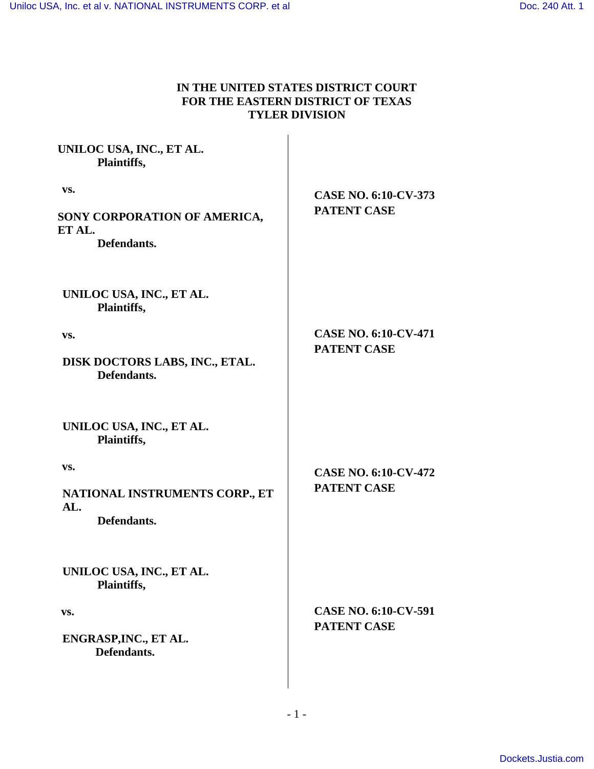# **IN THE UNITED STATES DISTRICT COURT FOR THE EASTERN DISTRICT OF TEXAS TYLER DIVISION**

| <b>CASE NO. 6:10-CV-373</b><br><b>PATENT CASE</b> |
|---------------------------------------------------|
|                                                   |
|                                                   |
| <b>CASE NO. 6:10-CV-471</b><br><b>PATENT CASE</b> |
|                                                   |
|                                                   |
| <b>CASE NO. 6:10-CV-472</b><br><b>PATENT CASE</b> |
|                                                   |
| <b>CASE NO. 6:10-CV-591</b><br><b>PATENT CASE</b> |
|                                                   |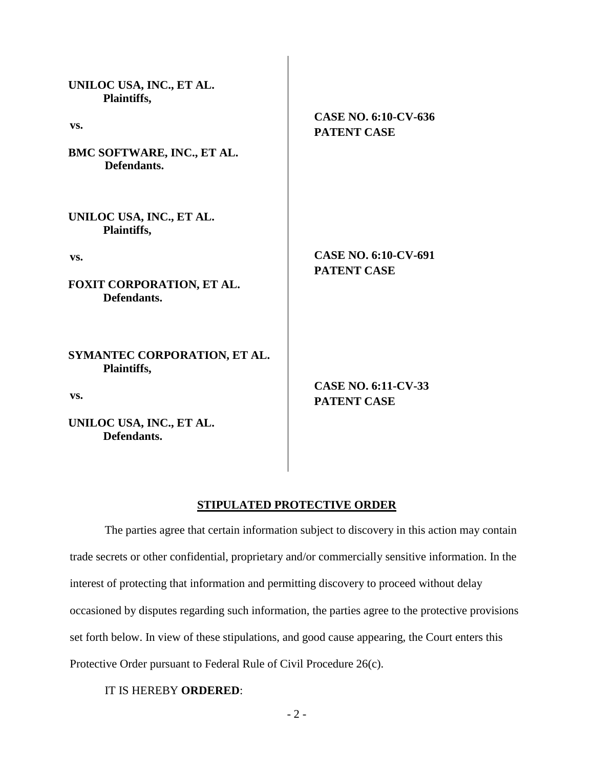| UNILOC USA, INC., ET AL.<br>Plaintiffs,     |                                                   |
|---------------------------------------------|---------------------------------------------------|
| VS.                                         | <b>CASE NO. 6:10-CV-636</b><br><b>PATENT CASE</b> |
| BMC SOFTWARE, INC., ET AL.<br>Defendants.   |                                                   |
| UNILOC USA, INC., ET AL.<br>Plaintiffs,     |                                                   |
| VS.                                         | CASE NO. 6:10-CV-691                              |
| FOXIT CORPORATION, ET AL.<br>Defendants.    | <b>PATENT CASE</b>                                |
| SYMANTEC CORPORATION, ET AL.<br>Plaintiffs, |                                                   |
| VS.                                         | <b>CASE NO. 6:11-CV-33</b><br><b>PATENT CASE</b>  |
| UNILOC USA, INC., ET AL.<br>Defendants.     |                                                   |

### **STIPULATED PROTECTIVE ORDER**

The parties agree that certain information subject to discovery in this action may contain trade secrets or other confidential, proprietary and/or commercially sensitive information. In the interest of protecting that information and permitting discovery to proceed without delay occasioned by disputes regarding such information, the parties agree to the protective provisions set forth below. In view of these stipulations, and good cause appearing, the Court enters this Protective Order pursuant to Federal Rule of Civil Procedure 26(c).

IT IS HEREBY **ORDERED**: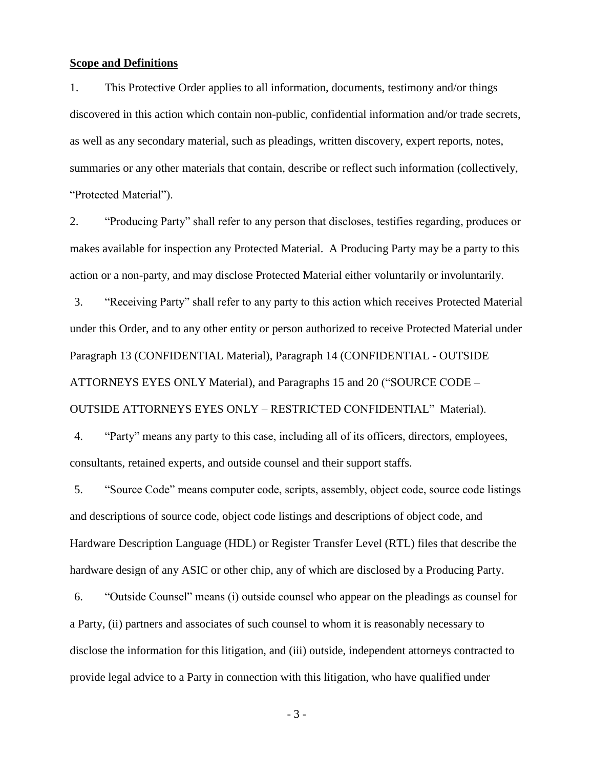#### **Scope and Definitions**

1. This Protective Order applies to all information, documents, testimony and/or things discovered in this action which contain non-public, confidential information and/or trade secrets, as well as any secondary material, such as pleadings, written discovery, expert reports, notes, summaries or any other materials that contain, describe or reflect such information (collectively, "Protected Material").

2. "Producing Party" shall refer to any person that discloses, testifies regarding, produces or makes available for inspection any Protected Material. A Producing Party may be a party to this action or a non-party, and may disclose Protected Material either voluntarily or involuntarily.

3. "Receiving Party" shall refer to any party to this action which receives Protected Material under this Order, and to any other entity or person authorized to receive Protected Material under Paragraph [13](#page-5-0) (CONFIDENTIAL Material), Paragraph [14](#page-5-1) (CONFIDENTIAL - OUTSIDE ATTORNEYS EYES ONLY Material), and Paragraphs [15](#page-7-0) and [20](#page-11-0) ("SOURCE CODE – OUTSIDE ATTORNEYS EYES ONLY – RESTRICTED CONFIDENTIAL" Material).

4. "Party" means any party to this case, including all of its officers, directors, employees, consultants, retained experts, and outside counsel and their support staffs.

5. "Source Code" means computer code, scripts, assembly, object code, source code listings and descriptions of source code, object code listings and descriptions of object code, and Hardware Description Language (HDL) or Register Transfer Level (RTL) files that describe the hardware design of any ASIC or other chip, any of which are disclosed by a Producing Party.

<span id="page-2-0"></span>6. "Outside Counsel" means (i) outside counsel who appear on the pleadings as counsel for a Party, (ii) partners and associates of such counsel to whom it is reasonably necessary to disclose the information for this litigation, and (iii) outside, independent attorneys contracted to provide legal advice to a Party in connection with this litigation, who have qualified under

- 3 -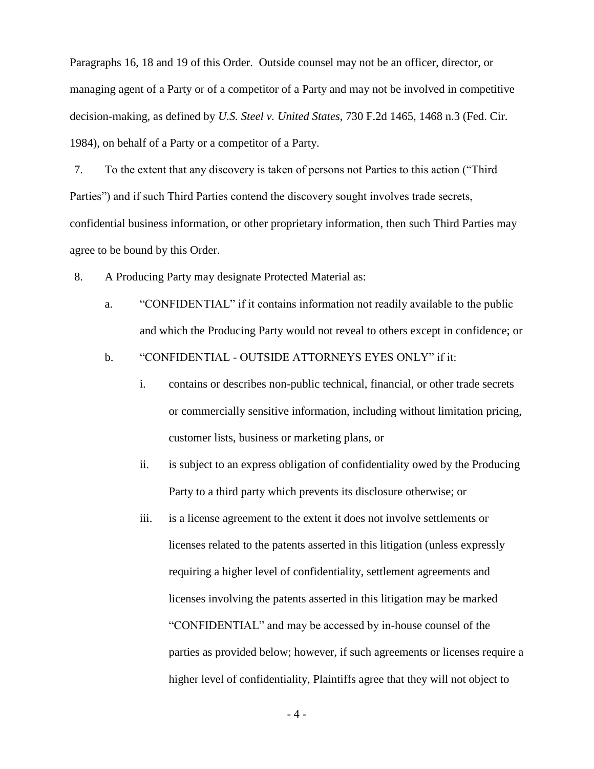Paragraphs [16,](#page-9-0) [18](#page-10-0) and [19](#page-10-1) of this Order. Outside counsel may not be an officer, director, or managing agent of a Party or of a competitor of a Party and may not be involved in competitive decision-making, as defined by *U.S. Steel v. United States*, 730 F.2d 1465, 1468 n.3 (Fed. Cir. 1984), on behalf of a Party or a competitor of a Party.

7. To the extent that any discovery is taken of persons not Parties to this action ("Third Parties") and if such Third Parties contend the discovery sought involves trade secrets, confidential business information, or other proprietary information, then such Third Parties may agree to be bound by this Order.

<span id="page-3-0"></span>8. A Producing Party may designate Protected Material as:

a. "CONFIDENTIAL" if it contains information not readily available to the public and which the Producing Party would not reveal to others except in confidence; or

b. "CONFIDENTIAL - OUTSIDE ATTORNEYS EYES ONLY" if it:

- i. contains or describes non-public technical, financial, or other trade secrets or commercially sensitive information, including without limitation pricing, customer lists, business or marketing plans, or
- ii. is subject to an express obligation of confidentiality owed by the Producing Party to a third party which prevents its disclosure otherwise; or
- iii. is a license agreement to the extent it does not involve settlements or licenses related to the patents asserted in this litigation (unless expressly requiring a higher level of confidentiality, settlement agreements and licenses involving the patents asserted in this litigation may be marked "CONFIDENTIAL" and may be accessed by in-house counsel of the parties as provided below; however, if such agreements or licenses require a higher level of confidentiality, Plaintiffs agree that they will not object to

- 4 -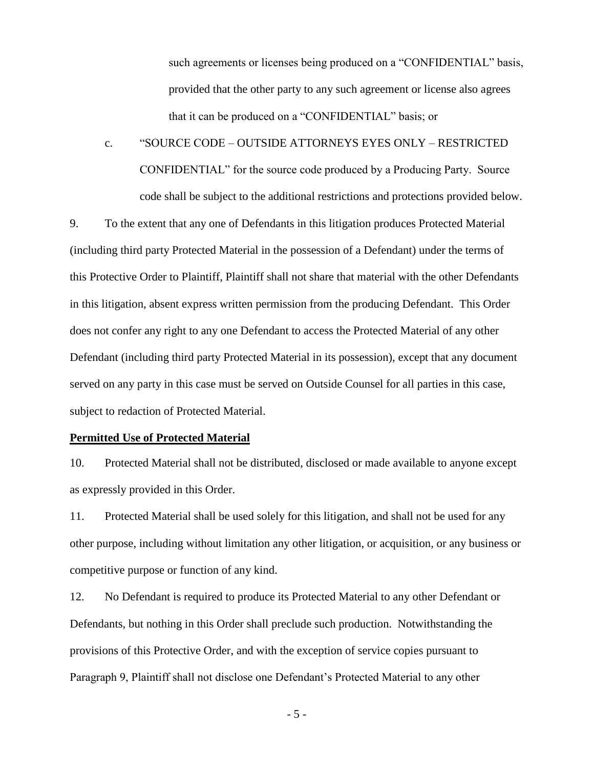such agreements or licenses being produced on a "CONFIDENTIAL" basis, provided that the other party to any such agreement or license also agrees that it can be produced on a "CONFIDENTIAL" basis; or

c. "SOURCE CODE – OUTSIDE ATTORNEYS EYES ONLY – RESTRICTED CONFIDENTIAL" for the source code produced by a Producing Party. Source code shall be subject to the additional restrictions and protections provided below.

9. To the extent that any one of Defendants in this litigation produces Protected Material (including third party Protected Material in the possession of a Defendant) under the terms of this Protective Order to Plaintiff, Plaintiff shall not share that material with the other Defendants in this litigation, absent express written permission from the producing Defendant. This Order does not confer any right to any one Defendant to access the Protected Material of any other Defendant (including third party Protected Material in its possession), except that any document served on any party in this case must be served on Outside Counsel for all parties in this case, subject to redaction of Protected Material.

### **Permitted Use of Protected Material**

10. Protected Material shall not be distributed, disclosed or made available to anyone except as expressly provided in this Order.

11. Protected Material shall be used solely for this litigation, and shall not be used for any other purpose, including without limitation any other litigation, or acquisition, or any business or competitive purpose or function of any kind.

12. No Defendant is required to produce its Protected Material to any other Defendant or Defendants, but nothing in this Order shall preclude such production. Notwithstanding the provisions of this Protective Order, and with the exception of service copies pursuant to Paragraph 9, Plaintiff shall not disclose one Defendant's Protected Material to any other

- 5 -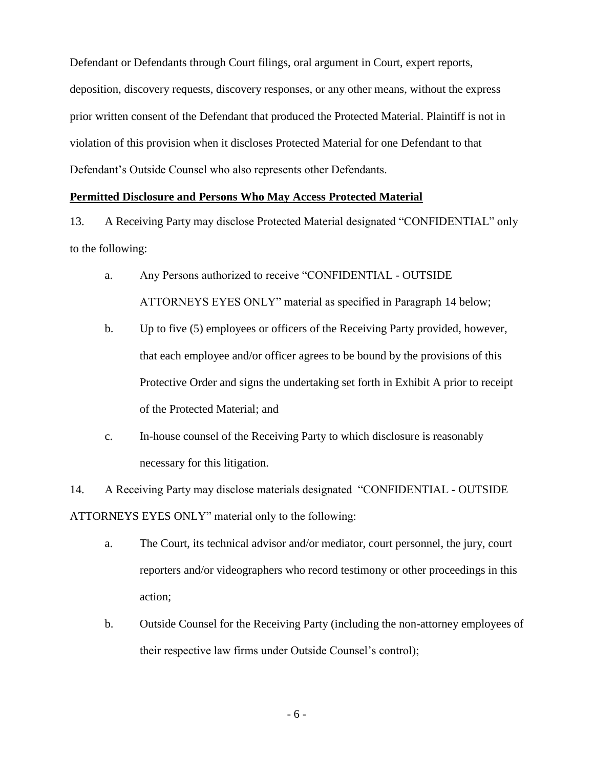Defendant or Defendants through Court filings, oral argument in Court, expert reports, deposition, discovery requests, discovery responses, or any other means, without the express prior written consent of the Defendant that produced the Protected Material. Plaintiff is not in violation of this provision when it discloses Protected Material for one Defendant to that Defendant's Outside Counsel who also represents other Defendants.

### **Permitted Disclosure and Persons Who May Access Protected Material**

<span id="page-5-0"></span>13. A Receiving Party may disclose Protected Material designated "CONFIDENTIAL" only to the following:

- a. Any Persons authorized to receive "CONFIDENTIAL OUTSIDE ATTORNEYS EYES ONLY" material as specified in Paragraph [14](#page-5-1) below;
- b. Up to five (5) employees or officers of the Receiving Party provided, however, that each employee and/or officer agrees to be bound by the provisions of this Protective Order and signs the undertaking set forth in Exhibit A prior to receipt of the Protected Material; and
- c. In-house counsel of the Receiving Party to which disclosure is reasonably necessary for this litigation.

<span id="page-5-1"></span>14. A Receiving Party may disclose materials designated "CONFIDENTIAL - OUTSIDE ATTORNEYS EYES ONLY" material only to the following:

- a. The Court, its technical advisor and/or mediator, court personnel, the jury, court reporters and/or videographers who record testimony or other proceedings in this action;
- b. Outside Counsel for the Receiving Party (including the non-attorney employees of their respective law firms under Outside Counsel's control);

- 6 -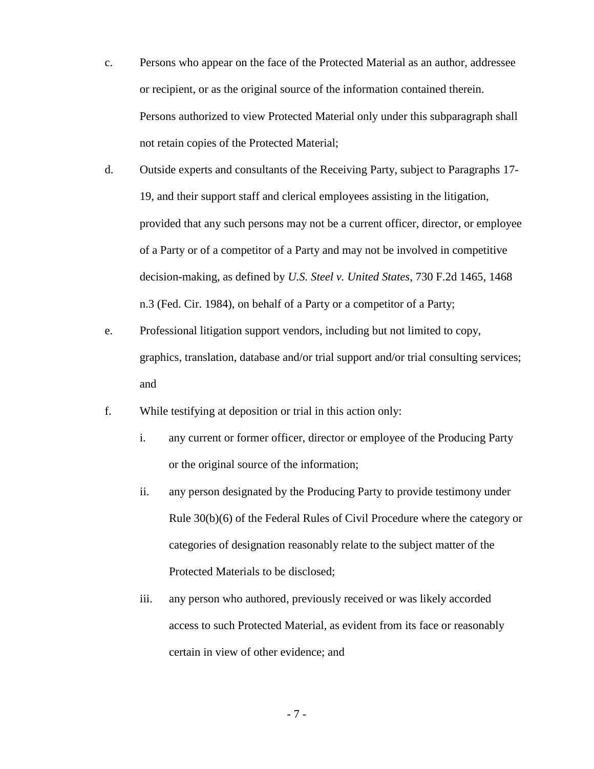- c. Persons who appear on the face of the Protected Material as an author, addressee or recipient, or as the original source of the information contained therein. Persons authorized to view Protected Material only under this subparagraph shall not retain copies of the Protected Material;
- d. Outside experts and consultants of the Receiving Party, subject to Paragraphs [17-](#page-9-1) [19,](#page-10-1) and their support staff and clerical employees assisting in the litigation, provided that any such persons may not be a current officer, director, or employee of a Party or of a competitor of a Party and may not be involved in competitive decision-making, as defined by *U.S. Steel v. United States*, 730 F.2d 1465, 1468 n.3 (Fed. Cir. 1984), on behalf of a Party or a competitor of a Party;
- e. Professional litigation support vendors, including but not limited to copy, graphics, translation, database and/or trial support and/or trial consulting services; and
- f. While testifying at deposition or trial in this action only:
	- i. any current or former officer, director or employee of the Producing Party or the original source of the information;
	- ii. any person designated by the Producing Party to provide testimony under Rule 30(b)(6) of the Federal Rules of Civil Procedure where the category or categories of designation reasonably relate to the subject matter of the Protected Materials to be disclosed;
	- iii. any person who authored, previously received or was likely accorded access to such Protected Material, as evident from its face or reasonably certain in view of other evidence; and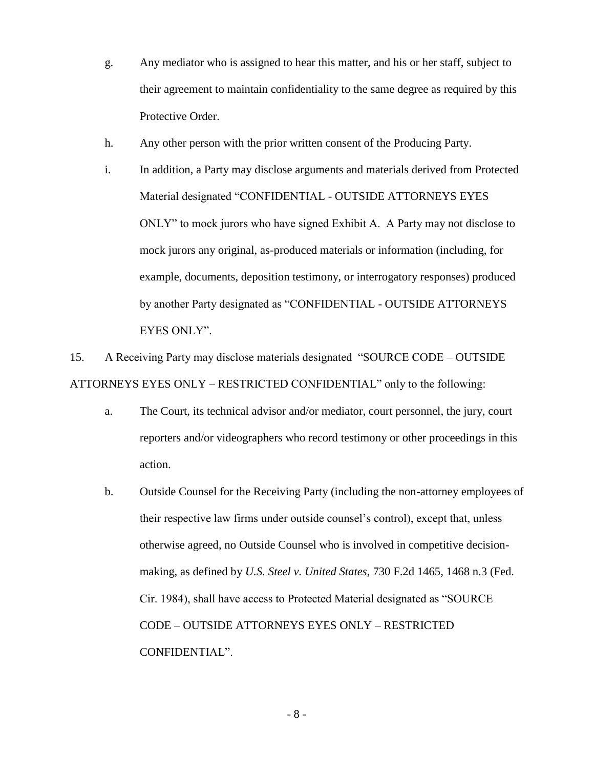- g. Any mediator who is assigned to hear this matter, and his or her staff, subject to their agreement to maintain confidentiality to the same degree as required by this Protective Order.
- h. Any other person with the prior written consent of the Producing Party.
- i. In addition, a Party may disclose arguments and materials derived from Protected Material designated "CONFIDENTIAL - OUTSIDE ATTORNEYS EYES ONLY" to mock jurors who have signed Exhibit A. A Party may not disclose to mock jurors any original, as-produced materials or information (including, for example, documents, deposition testimony, or interrogatory responses) produced by another Party designated as "CONFIDENTIAL - OUTSIDE ATTORNEYS EYES ONLY".

<span id="page-7-0"></span>15. A Receiving Party may disclose materials designated "SOURCE CODE – OUTSIDE ATTORNEYS EYES ONLY – RESTRICTED CONFIDENTIAL" only to the following:

- a. The Court, its technical advisor and/or mediator, court personnel, the jury, court reporters and/or videographers who record testimony or other proceedings in this action.
- b. Outside Counsel for the Receiving Party (including the non-attorney employees of their respective law firms under outside counsel's control), except that, unless otherwise agreed, no Outside Counsel who is involved in competitive decisionmaking, as defined by *U.S. Steel v. United States*, 730 F.2d 1465, 1468 n.3 (Fed. Cir. 1984), shall have access to Protected Material designated as "SOURCE CODE – OUTSIDE ATTORNEYS EYES ONLY – RESTRICTED CONFIDENTIAL".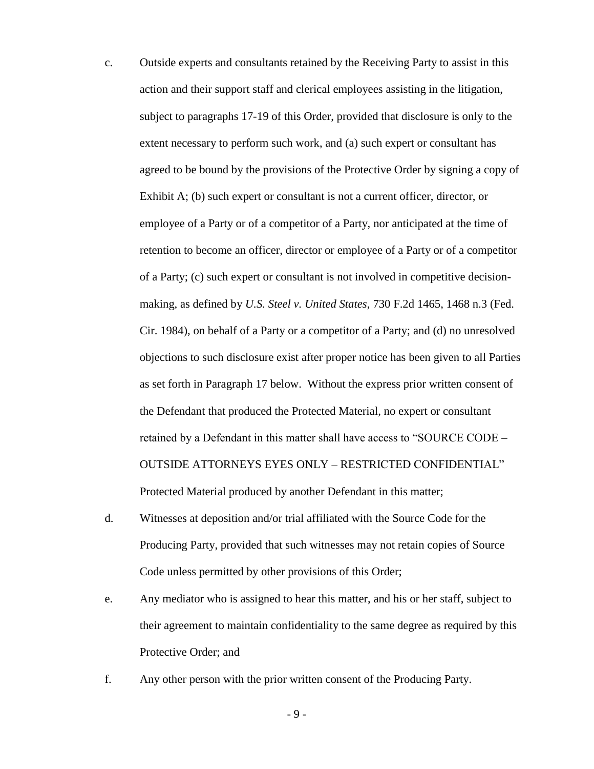- c. Outside experts and consultants retained by the Receiving Party to assist in this action and their support staff and clerical employees assisting in the litigation, subject to paragraphs [17-](#page-9-1)[19](#page-10-1) of this Order, provided that disclosure is only to the extent necessary to perform such work, and (a) such expert or consultant has agreed to be bound by the provisions of the Protective Order by signing a copy of Exhibit A; (b) such expert or consultant is not a current officer, director, or employee of a Party or of a competitor of a Party, nor anticipated at the time of retention to become an officer, director or employee of a Party or of a competitor of a Party; (c) such expert or consultant is not involved in competitive decisionmaking, as defined by *U.S. Steel v. United States*, 730 F.2d 1465, 1468 n.3 (Fed. Cir. 1984), on behalf of a Party or a competitor of a Party; and (d) no unresolved objections to such disclosure exist after proper notice has been given to all Parties as set forth in Paragraph [17](#page-9-1) below. Without the express prior written consent of the Defendant that produced the Protected Material, no expert or consultant retained by a Defendant in this matter shall have access to "SOURCE CODE – OUTSIDE ATTORNEYS EYES ONLY – RESTRICTED CONFIDENTIAL" Protected Material produced by another Defendant in this matter;
- d. Witnesses at deposition and/or trial affiliated with the Source Code for the Producing Party, provided that such witnesses may not retain copies of Source Code unless permitted by other provisions of this Order;
- e. Any mediator who is assigned to hear this matter, and his or her staff, subject to their agreement to maintain confidentiality to the same degree as required by this Protective Order; and
- f. Any other person with the prior written consent of the Producing Party.

- 9 -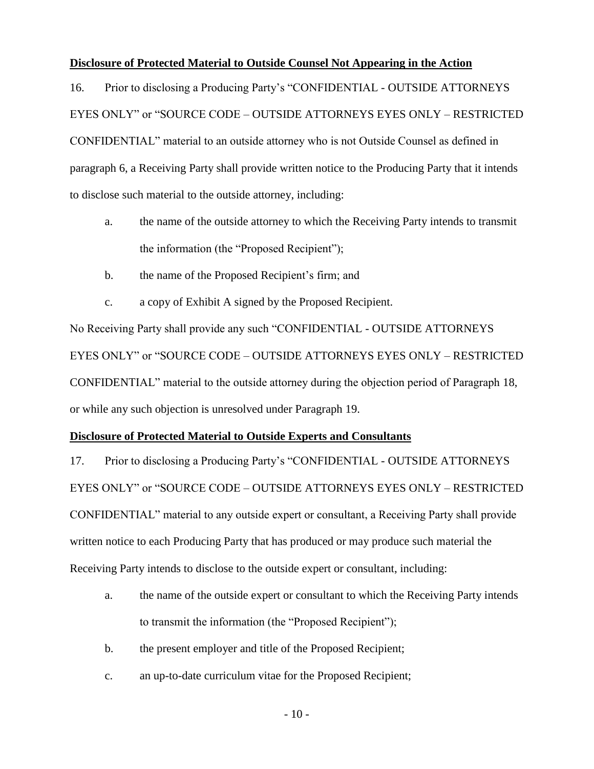### **Disclosure of Protected Material to Outside Counsel Not Appearing in the Action**

<span id="page-9-0"></span>16. Prior to disclosing a Producing Party's "CONFIDENTIAL - OUTSIDE ATTORNEYS EYES ONLY" or "SOURCE CODE – OUTSIDE ATTORNEYS EYES ONLY – RESTRICTED CONFIDENTIAL" material to an outside attorney who is not Outside Counsel as defined in paragraph [6,](#page-2-0) a Receiving Party shall provide written notice to the Producing Party that it intends to disclose such material to the outside attorney, including:

- a. the name of the outside attorney to which the Receiving Party intends to transmit the information (the "Proposed Recipient");
- b. the name of the Proposed Recipient's firm; and
- c. a copy of Exhibit A signed by the Proposed Recipient.

No Receiving Party shall provide any such "CONFIDENTIAL - OUTSIDE ATTORNEYS EYES ONLY" or "SOURCE CODE – OUTSIDE ATTORNEYS EYES ONLY – RESTRICTED CONFIDENTIAL" material to the outside attorney during the objection period of Paragraph [18,](#page-10-0) or while any such objection is unresolved under Paragraph [19.](#page-10-1)

## **Disclosure of Protected Material to Outside Experts and Consultants**

<span id="page-9-1"></span>17. Prior to disclosing a Producing Party's "CONFIDENTIAL - OUTSIDE ATTORNEYS EYES ONLY" or "SOURCE CODE – OUTSIDE ATTORNEYS EYES ONLY – RESTRICTED CONFIDENTIAL" material to any outside expert or consultant, a Receiving Party shall provide written notice to each Producing Party that has produced or may produce such material the Receiving Party intends to disclose to the outside expert or consultant, including:

- a. the name of the outside expert or consultant to which the Receiving Party intends to transmit the information (the "Proposed Recipient");
- b. the present employer and title of the Proposed Recipient;
- c. an up-to-date curriculum vitae for the Proposed Recipient;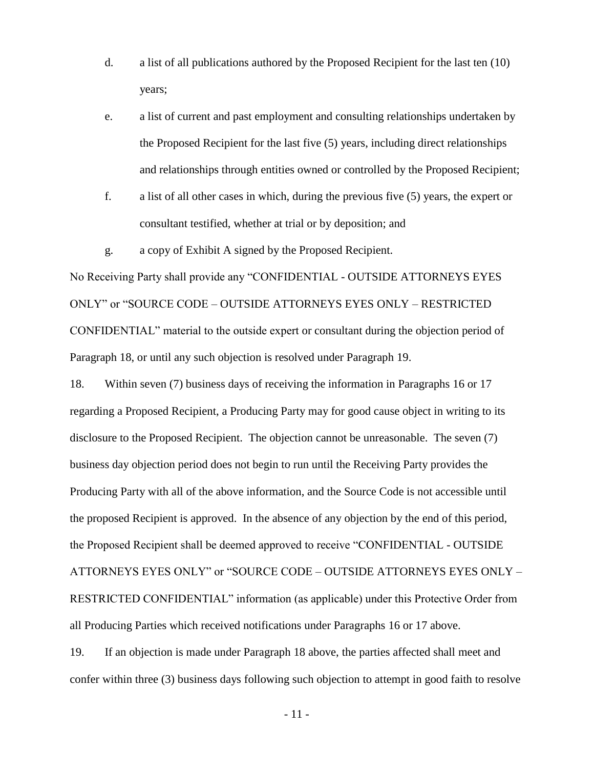- d. a list of all publications authored by the Proposed Recipient for the last ten (10) years;
- e. a list of current and past employment and consulting relationships undertaken by the Proposed Recipient for the last five (5) years, including direct relationships and relationships through entities owned or controlled by the Proposed Recipient;
- f. a list of all other cases in which, during the previous five (5) years, the expert or consultant testified, whether at trial or by deposition; and
- g. a copy of Exhibit A signed by the Proposed Recipient.

No Receiving Party shall provide any "CONFIDENTIAL - OUTSIDE ATTORNEYS EYES ONLY" or "SOURCE CODE – OUTSIDE ATTORNEYS EYES ONLY – RESTRICTED CONFIDENTIAL" material to the outside expert or consultant during the objection period of Paragraph [18,](#page-10-0) or until any such objection is resolved under Paragraph [19.](#page-10-1)

<span id="page-10-0"></span>18. Within seven (7) business days of receiving the information in Paragraphs [16](#page-9-0) or [17](#page-9-1) regarding a Proposed Recipient, a Producing Party may for good cause object in writing to its disclosure to the Proposed Recipient. The objection cannot be unreasonable. The seven (7) business day objection period does not begin to run until the Receiving Party provides the Producing Party with all of the above information, and the Source Code is not accessible until the proposed Recipient is approved. In the absence of any objection by the end of this period, the Proposed Recipient shall be deemed approved to receive "CONFIDENTIAL - OUTSIDE ATTORNEYS EYES ONLY" or "SOURCE CODE – OUTSIDE ATTORNEYS EYES ONLY – RESTRICTED CONFIDENTIAL" information (as applicable) under this Protective Order from all Producing Parties which received notifications under Paragraphs [16](#page-9-0) or [17](#page-9-1) above.

<span id="page-10-1"></span>19. If an objection is made under Paragraph [18](#page-10-0) above, the parties affected shall meet and confer within three (3) business days following such objection to attempt in good faith to resolve

- 11 -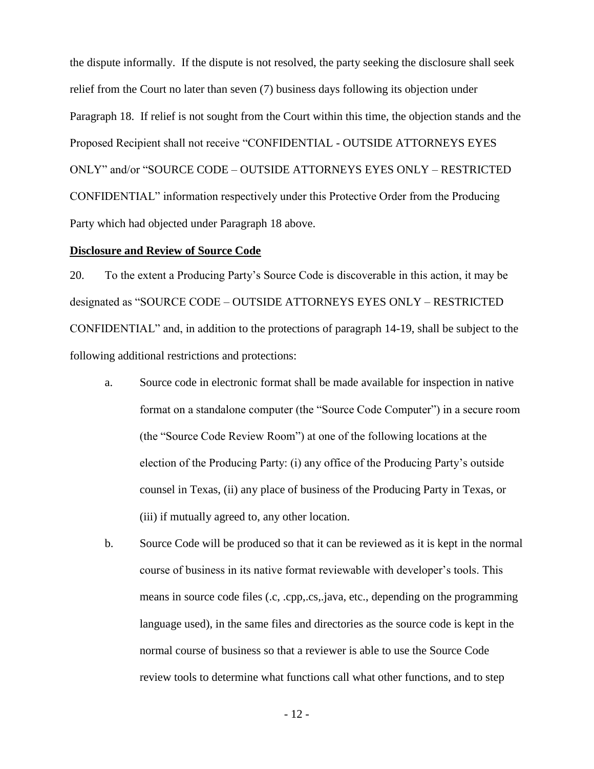the dispute informally. If the dispute is not resolved, the party seeking the disclosure shall seek relief from the Court no later than seven (7) business days following its objection under Paragraph [18.](#page-10-0) If relief is not sought from the Court within this time, the objection stands and the Proposed Recipient shall not receive "CONFIDENTIAL - OUTSIDE ATTORNEYS EYES ONLY" and/or "SOURCE CODE – OUTSIDE ATTORNEYS EYES ONLY – RESTRICTED CONFIDENTIAL" information respectively under this Protective Order from the Producing Party which had objected under Paragraph [18](#page-10-0) above.

### **Disclosure and Review of Source Code**

<span id="page-11-0"></span>20. To the extent a Producing Party's Source Code is discoverable in this action, it may be designated as "SOURCE CODE – OUTSIDE ATTORNEYS EYES ONLY – RESTRICTED CONFIDENTIAL" and, in addition to the protections of paragraph [14](#page-5-1)[-19,](#page-10-1) shall be subject to the following additional restrictions and protections:

- a. Source code in electronic format shall be made available for inspection in native format on a standalone computer (the "Source Code Computer") in a secure room (the "Source Code Review Room") at one of the following locations at the election of the Producing Party: (i) any office of the Producing Party's outside counsel in Texas, (ii) any place of business of the Producing Party in Texas, or (iii) if mutually agreed to, any other location.
- b. Source Code will be produced so that it can be reviewed as it is kept in the normal course of business in its native format reviewable with developer's tools. This means in source code files (.c, .cpp,.cs,.java, etc., depending on the programming language used), in the same files and directories as the source code is kept in the normal course of business so that a reviewer is able to use the Source Code review tools to determine what functions call what other functions, and to step

- 12 -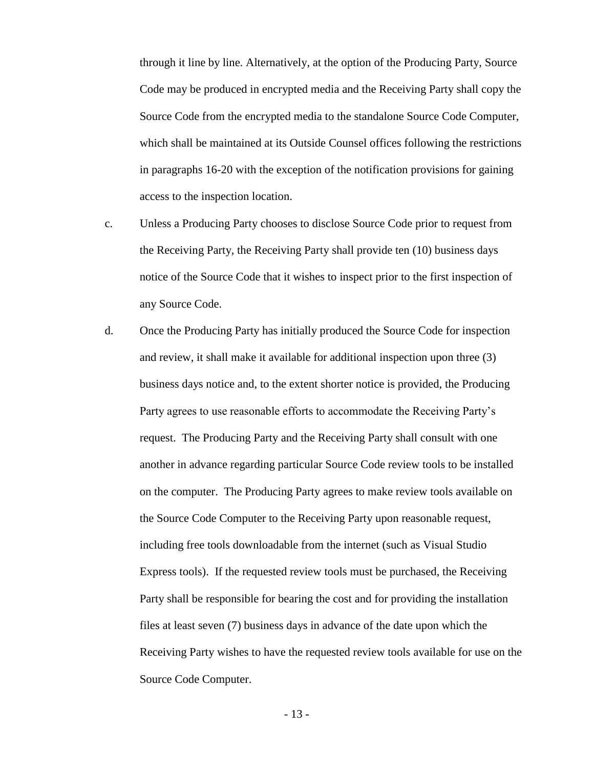through it line by line. Alternatively, at the option of the Producing Party, Source Code may be produced in encrypted media and the Receiving Party shall copy the Source Code from the encrypted media to the standalone Source Code Computer, which shall be maintained at its Outside Counsel offices following the restrictions in paragraphs 16-20 with the exception of the notification provisions for gaining access to the inspection location.

- c. Unless a Producing Party chooses to disclose Source Code prior to request from the Receiving Party, the Receiving Party shall provide ten (10) business days notice of the Source Code that it wishes to inspect prior to the first inspection of any Source Code.
- d. Once the Producing Party has initially produced the Source Code for inspection and review, it shall make it available for additional inspection upon three (3) business days notice and, to the extent shorter notice is provided, the Producing Party agrees to use reasonable efforts to accommodate the Receiving Party's request. The Producing Party and the Receiving Party shall consult with one another in advance regarding particular Source Code review tools to be installed on the computer. The Producing Party agrees to make review tools available on the Source Code Computer to the Receiving Party upon reasonable request, including free tools downloadable from the internet (such as Visual Studio Express tools). If the requested review tools must be purchased, the Receiving Party shall be responsible for bearing the cost and for providing the installation files at least seven (7) business days in advance of the date upon which the Receiving Party wishes to have the requested review tools available for use on the Source Code Computer.

- 13 -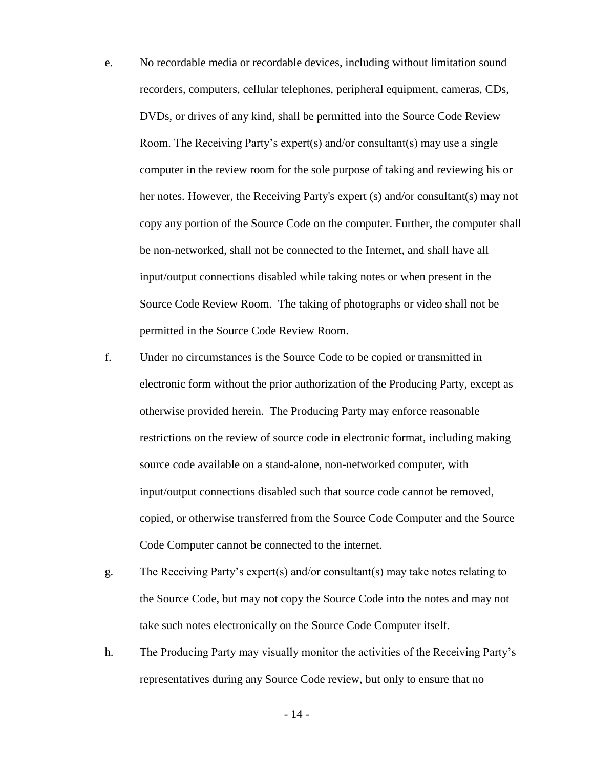- e. No recordable media or recordable devices, including without limitation sound recorders, computers, cellular telephones, peripheral equipment, cameras, CDs, DVDs, or drives of any kind, shall be permitted into the Source Code Review Room. The Receiving Party's expert(s) and/or consultant(s) may use a single computer in the review room for the sole purpose of taking and reviewing his or her notes. However, the Receiving Party's expert (s) and/or consultant(s) may not copy any portion of the Source Code on the computer. Further, the computer shall be non-networked, shall not be connected to the Internet, and shall have all input/output connections disabled while taking notes or when present in the Source Code Review Room. The taking of photographs or video shall not be permitted in the Source Code Review Room.
- f. Under no circumstances is the Source Code to be copied or transmitted in electronic form without the prior authorization of the Producing Party, except as otherwise provided herein. The Producing Party may enforce reasonable restrictions on the review of source code in electronic format, including making source code available on a stand-alone, non-networked computer, with input/output connections disabled such that source code cannot be removed, copied, or otherwise transferred from the Source Code Computer and the Source Code Computer cannot be connected to the internet.
- g. The Receiving Party's expert(s) and/or consultant(s) may take notes relating to the Source Code, but may not copy the Source Code into the notes and may not take such notes electronically on the Source Code Computer itself.
- h. The Producing Party may visually monitor the activities of the Receiving Party's representatives during any Source Code review, but only to ensure that no

- 14 -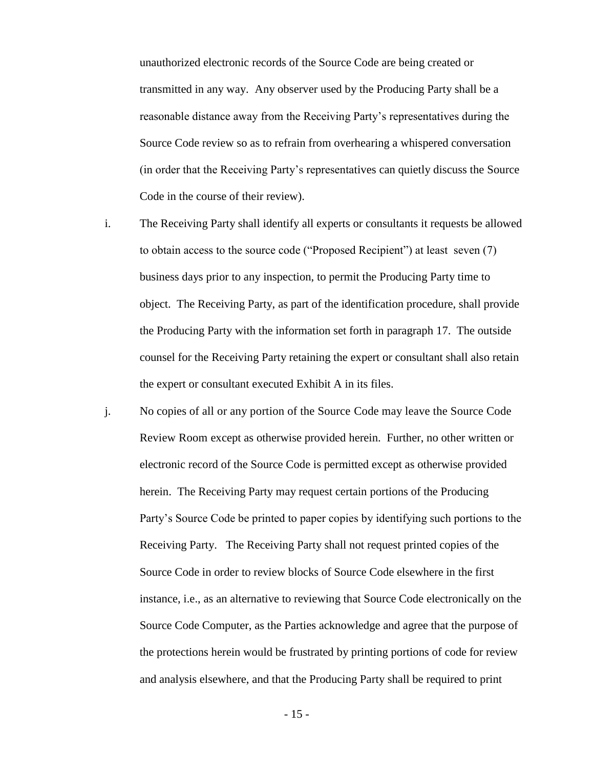unauthorized electronic records of the Source Code are being created or transmitted in any way. Any observer used by the Producing Party shall be a reasonable distance away from the Receiving Party's representatives during the Source Code review so as to refrain from overhearing a whispered conversation (in order that the Receiving Party's representatives can quietly discuss the Source Code in the course of their review).

- i. The Receiving Party shall identify all experts or consultants it requests be allowed to obtain access to the source code ("Proposed Recipient") at least seven (7) business days prior to any inspection, to permit the Producing Party time to object. The Receiving Party, as part of the identification procedure, shall provide the Producing Party with the information set forth in paragraph [17.](#page-9-1) The outside counsel for the Receiving Party retaining the expert or consultant shall also retain the expert or consultant executed Exhibit A in its files.
- <span id="page-14-0"></span>j. No copies of all or any portion of the Source Code may leave the Source Code Review Room except as otherwise provided herein. Further, no other written or electronic record of the Source Code is permitted except as otherwise provided herein. The Receiving Party may request certain portions of the Producing Party's Source Code be printed to paper copies by identifying such portions to the Receiving Party. The Receiving Party shall not request printed copies of the Source Code in order to review blocks of Source Code elsewhere in the first instance, i.e., as an alternative to reviewing that Source Code electronically on the Source Code Computer, as the Parties acknowledge and agree that the purpose of the protections herein would be frustrated by printing portions of code for review and analysis elsewhere, and that the Producing Party shall be required to print

- 15 -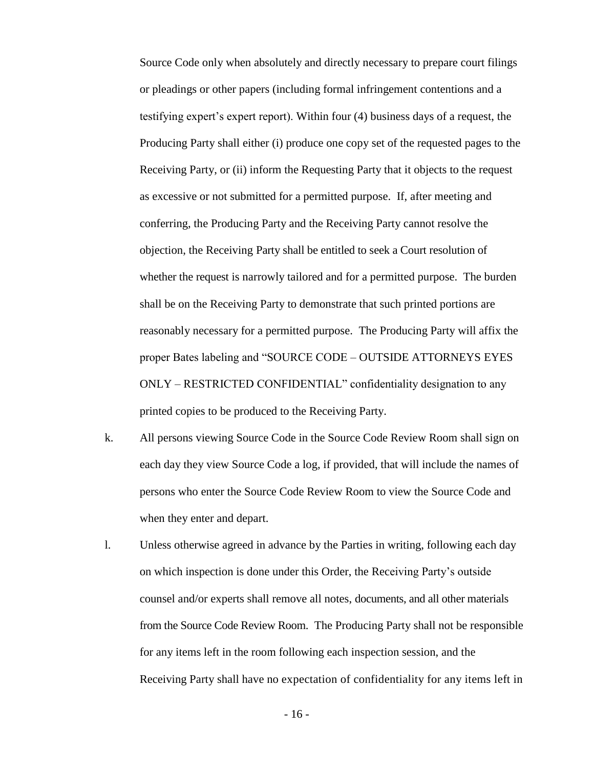Source Code only when absolutely and directly necessary to prepare court filings or pleadings or other papers (including formal infringement contentions and a testifying expert's expert report). Within four (4) business days of a request, the Producing Party shall either (i) produce one copy set of the requested pages to the Receiving Party, or (ii) inform the Requesting Party that it objects to the request as excessive or not submitted for a permitted purpose. If, after meeting and conferring, the Producing Party and the Receiving Party cannot resolve the objection, the Receiving Party shall be entitled to seek a Court resolution of whether the request is narrowly tailored and for a permitted purpose. The burden shall be on the Receiving Party to demonstrate that such printed portions are reasonably necessary for a permitted purpose. The Producing Party will affix the proper Bates labeling and "SOURCE CODE – OUTSIDE ATTORNEYS EYES ONLY – RESTRICTED CONFIDENTIAL" confidentiality designation to any printed copies to be produced to the Receiving Party.

- k. All persons viewing Source Code in the Source Code Review Room shall sign on each day they view Source Code a log, if provided, that will include the names of persons who enter the Source Code Review Room to view the Source Code and when they enter and depart.
- l. Unless otherwise agreed in advance by the Parties in writing, following each day on which inspection is done under this Order, the Receiving Party's outside counsel and/or experts shall remove all notes, documents, and all other materials from the Source Code Review Room. The Producing Party shall not be responsible for any items left in the room following each inspection session, and the Receiving Party shall have no expectation of confidentiality for any items left in

- 16 -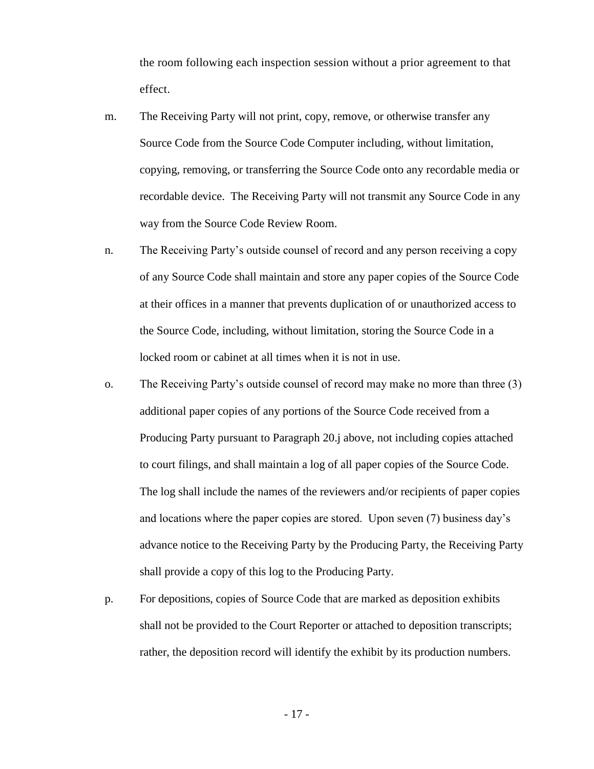the room following each inspection session without a prior agreement to that effect.

- m. The Receiving Party will not print, copy, remove, or otherwise transfer any Source Code from the Source Code Computer including, without limitation, copying, removing, or transferring the Source Code onto any recordable media or recordable device. The Receiving Party will not transmit any Source Code in any way from the Source Code Review Room.
- n. The Receiving Party's outside counsel of record and any person receiving a copy of any Source Code shall maintain and store any paper copies of the Source Code at their offices in a manner that prevents duplication of or unauthorized access to the Source Code, including, without limitation, storing the Source Code in a locked room or cabinet at all times when it is not in use.
- o. The Receiving Party's outside counsel of record may make no more than three (3) additional paper copies of any portions of the Source Code received from a Producing Party pursuant to Paragraph [20.j above,](#page-14-0) not including copies attached to court filings, and shall maintain a log of all paper copies of the Source Code. The log shall include the names of the reviewers and/or recipients of paper copies and locations where the paper copies are stored. Upon seven (7) business day's advance notice to the Receiving Party by the Producing Party, the Receiving Party shall provide a copy of this log to the Producing Party.
- p. For depositions, copies of Source Code that are marked as deposition exhibits shall not be provided to the Court Reporter or attached to deposition transcripts; rather, the deposition record will identify the exhibit by its production numbers.

- 17 -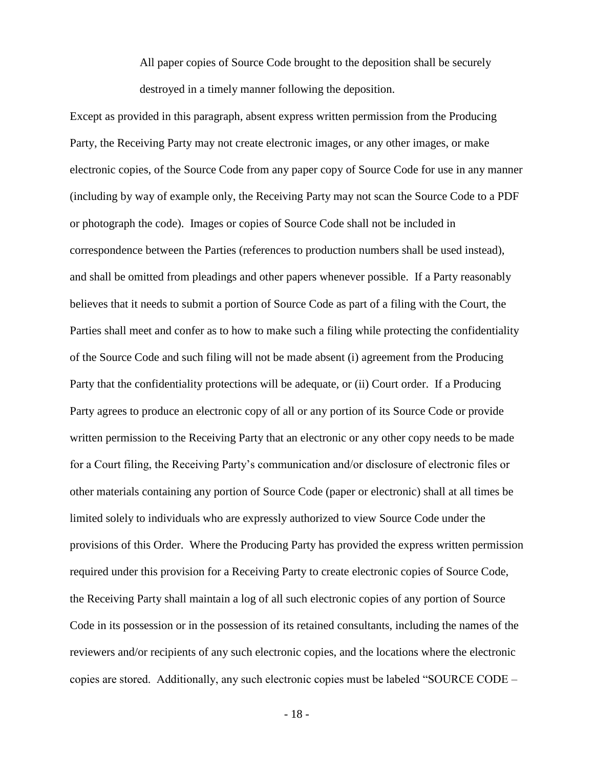All paper copies of Source Code brought to the deposition shall be securely destroyed in a timely manner following the deposition.

Except as provided in this paragraph, absent express written permission from the Producing Party, the Receiving Party may not create electronic images, or any other images, or make electronic copies, of the Source Code from any paper copy of Source Code for use in any manner (including by way of example only, the Receiving Party may not scan the Source Code to a PDF or photograph the code). Images or copies of Source Code shall not be included in correspondence between the Parties (references to production numbers shall be used instead), and shall be omitted from pleadings and other papers whenever possible. If a Party reasonably believes that it needs to submit a portion of Source Code as part of a filing with the Court, the Parties shall meet and confer as to how to make such a filing while protecting the confidentiality of the Source Code and such filing will not be made absent (i) agreement from the Producing Party that the confidentiality protections will be adequate, or (ii) Court order. If a Producing Party agrees to produce an electronic copy of all or any portion of its Source Code or provide written permission to the Receiving Party that an electronic or any other copy needs to be made for a Court filing, the Receiving Party's communication and/or disclosure of electronic files or other materials containing any portion of Source Code (paper or electronic) shall at all times be limited solely to individuals who are expressly authorized to view Source Code under the provisions of this Order. Where the Producing Party has provided the express written permission required under this provision for a Receiving Party to create electronic copies of Source Code, the Receiving Party shall maintain a log of all such electronic copies of any portion of Source Code in its possession or in the possession of its retained consultants, including the names of the reviewers and/or recipients of any such electronic copies, and the locations where the electronic copies are stored. Additionally, any such electronic copies must be labeled "SOURCE CODE –

- 18 -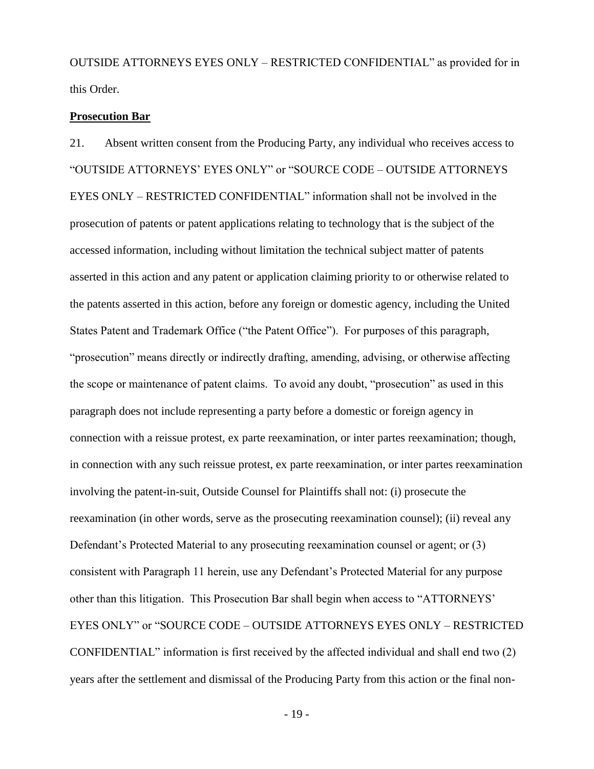OUTSIDE ATTORNEYS EYES ONLY – RESTRICTED CONFIDENTIAL" as provided for in this Order.

#### **Prosecution Bar**

21. Absent written consent from the Producing Party, any individual who receives access to "OUTSIDE ATTORNEYS' EYES ONLY" or "SOURCE CODE – OUTSIDE ATTORNEYS EYES ONLY – RESTRICTED CONFIDENTIAL" information shall not be involved in the prosecution of patents or patent applications relating to technology that is the subject of the accessed information, including without limitation the technical subject matter of patents asserted in this action and any patent or application claiming priority to or otherwise related to the patents asserted in this action, before any foreign or domestic agency, including the United States Patent and Trademark Office ("the Patent Office"). For purposes of this paragraph, "prosecution" means directly or indirectly drafting, amending, advising, or otherwise affecting the scope or maintenance of patent claims. To avoid any doubt, "prosecution" as used in this paragraph does not include representing a party before a domestic or foreign agency in connection with a reissue protest, ex parte reexamination, or inter partes reexamination; though, in connection with any such reissue protest, ex parte reexamination, or inter partes reexamination involving the patent-in-suit, Outside Counsel for Plaintiffs shall not: (i) prosecute the reexamination (in other words, serve as the prosecuting reexamination counsel); (ii) reveal any Defendant's Protected Material to any prosecuting reexamination counsel or agent; or (3) consistent with Paragraph 11 herein, use any Defendant's Protected Material for any purpose other than this litigation. This Prosecution Bar shall begin when access to "ATTORNEYS' EYES ONLY" or "SOURCE CODE – OUTSIDE ATTORNEYS EYES ONLY – RESTRICTED CONFIDENTIAL" information is first received by the affected individual and shall end two (2) years after the settlement and dismissal of the Producing Party from this action or the final non-

- 19 -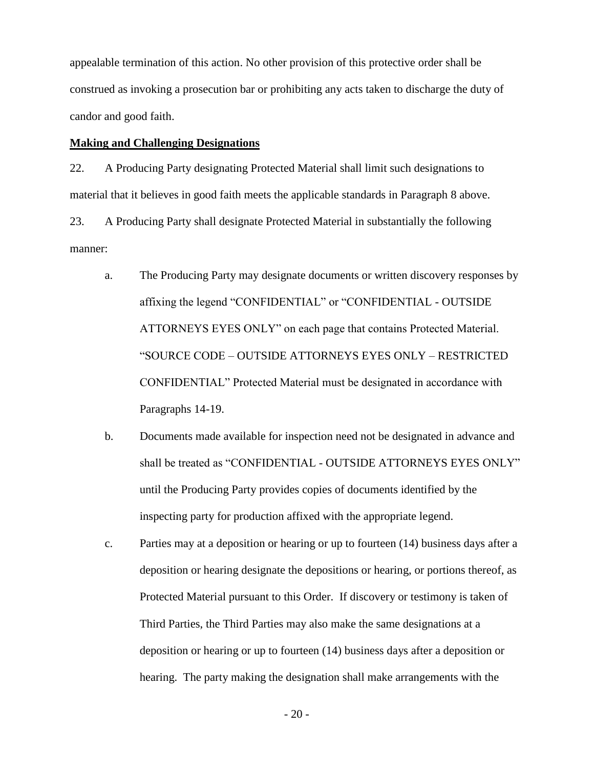appealable termination of this action. No other provision of this protective order shall be construed as invoking a prosecution bar or prohibiting any acts taken to discharge the duty of candor and good faith.

### **Making and Challenging Designations**

22. A Producing Party designating Protected Material shall limit such designations to material that it believes in good faith meets the applicable standards in Paragraph [8](#page-3-0) above.

23. A Producing Party shall designate Protected Material in substantially the following manner:

- a. The Producing Party may designate documents or written discovery responses by affixing the legend "CONFIDENTIAL" or "CONFIDENTIAL - OUTSIDE ATTORNEYS EYES ONLY" on each page that contains Protected Material. "SOURCE CODE – OUTSIDE ATTORNEYS EYES ONLY – RESTRICTED CONFIDENTIAL" Protected Material must be designated in accordance with Paragraphs 14-19.
- b. Documents made available for inspection need not be designated in advance and shall be treated as "CONFIDENTIAL - OUTSIDE ATTORNEYS EYES ONLY" until the Producing Party provides copies of documents identified by the inspecting party for production affixed with the appropriate legend.
- c. Parties may at a deposition or hearing or up to fourteen (14) business days after a deposition or hearing designate the depositions or hearing, or portions thereof, as Protected Material pursuant to this Order. If discovery or testimony is taken of Third Parties, the Third Parties may also make the same designations at a deposition or hearing or up to fourteen (14) business days after a deposition or hearing. The party making the designation shall make arrangements with the

- 20 -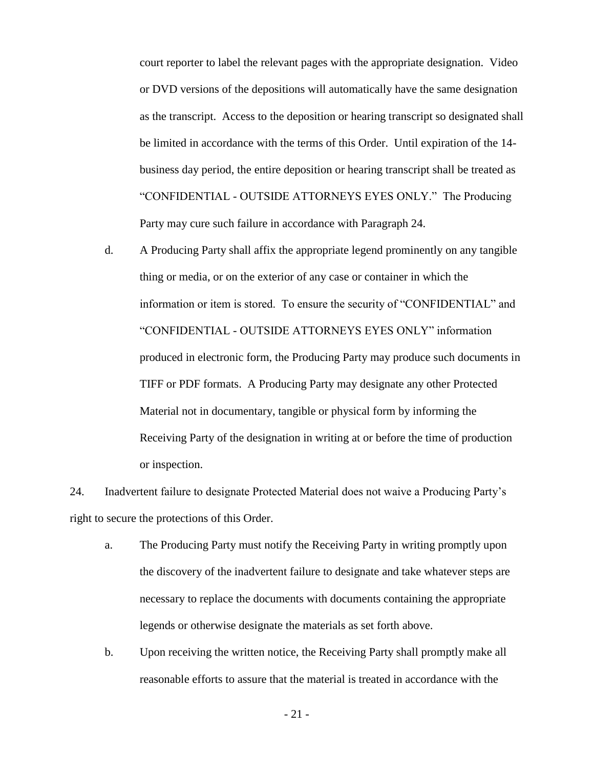court reporter to label the relevant pages with the appropriate designation. Video or DVD versions of the depositions will automatically have the same designation as the transcript. Access to the deposition or hearing transcript so designated shall be limited in accordance with the terms of this Order. Until expiration of the 14 business day period, the entire deposition or hearing transcript shall be treated as "CONFIDENTIAL - OUTSIDE ATTORNEYS EYES ONLY." The Producing Party may cure such failure in accordance with Paragraph 24.

d. A Producing Party shall affix the appropriate legend prominently on any tangible thing or media, or on the exterior of any case or container in which the information or item is stored. To ensure the security of "CONFIDENTIAL" and "CONFIDENTIAL - OUTSIDE ATTORNEYS EYES ONLY" information produced in electronic form, the Producing Party may produce such documents in TIFF or PDF formats. A Producing Party may designate any other Protected Material not in documentary, tangible or physical form by informing the Receiving Party of the designation in writing at or before the time of production or inspection.

<span id="page-20-0"></span>24. Inadvertent failure to designate Protected Material does not waive a Producing Party's right to secure the protections of this Order.

- a. The Producing Party must notify the Receiving Party in writing promptly upon the discovery of the inadvertent failure to designate and take whatever steps are necessary to replace the documents with documents containing the appropriate legends or otherwise designate the materials as set forth above.
- b. Upon receiving the written notice, the Receiving Party shall promptly make all reasonable efforts to assure that the material is treated in accordance with the

- 21 -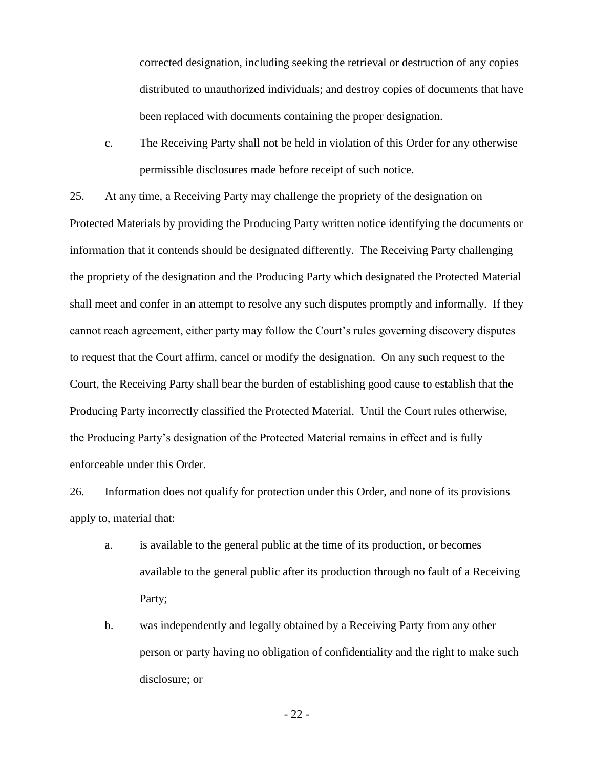corrected designation, including seeking the retrieval or destruction of any copies distributed to unauthorized individuals; and destroy copies of documents that have been replaced with documents containing the proper designation.

c. The Receiving Party shall not be held in violation of this Order for any otherwise permissible disclosures made before receipt of such notice.

25. At any time, a Receiving Party may challenge the propriety of the designation on Protected Materials by providing the Producing Party written notice identifying the documents or information that it contends should be designated differently. The Receiving Party challenging the propriety of the designation and the Producing Party which designated the Protected Material shall meet and confer in an attempt to resolve any such disputes promptly and informally. If they cannot reach agreement, either party may follow the Court's rules governing discovery disputes to request that the Court affirm, cancel or modify the designation. On any such request to the Court, the Receiving Party shall bear the burden of establishing good cause to establish that the Producing Party incorrectly classified the Protected Material. Until the Court rules otherwise, the Producing Party's designation of the Protected Material remains in effect and is fully enforceable under this Order.

26. Information does not qualify for protection under this Order, and none of its provisions apply to, material that:

- a. is available to the general public at the time of its production, or becomes available to the general public after its production through no fault of a Receiving Party;
- b. was independently and legally obtained by a Receiving Party from any other person or party having no obligation of confidentiality and the right to make such disclosure; or

- 22 -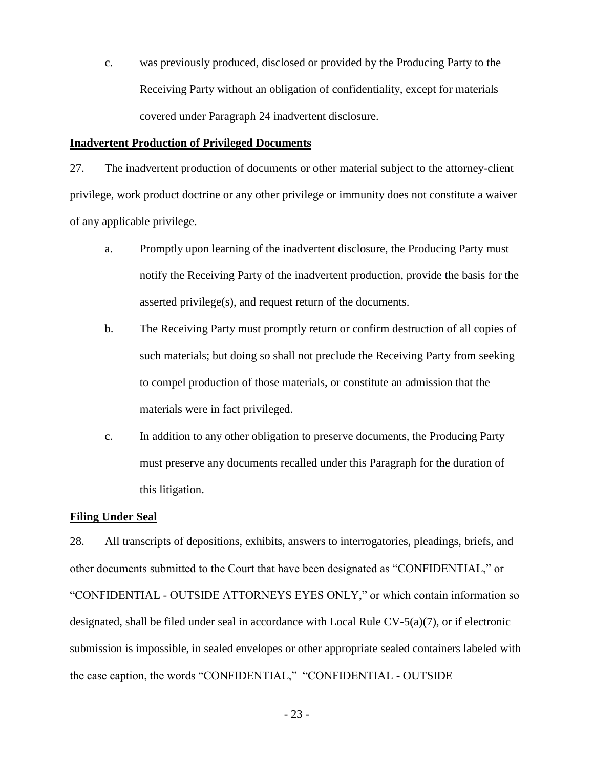c. was previously produced, disclosed or provided by the Producing Party to the Receiving Party without an obligation of confidentiality, except for materials covered under Paragraph [24](#page-20-0) inadvertent disclosure.

#### **Inadvertent Production of Privileged Documents**

27. The inadvertent production of documents or other material subject to the attorney-client privilege, work product doctrine or any other privilege or immunity does not constitute a waiver of any applicable privilege.

- a. Promptly upon learning of the inadvertent disclosure, the Producing Party must notify the Receiving Party of the inadvertent production, provide the basis for the asserted privilege(s), and request return of the documents.
- b. The Receiving Party must promptly return or confirm destruction of all copies of such materials; but doing so shall not preclude the Receiving Party from seeking to compel production of those materials, or constitute an admission that the materials were in fact privileged.
- c. In addition to any other obligation to preserve documents, the Producing Party must preserve any documents recalled under this Paragraph for the duration of this litigation.

#### **Filing Under Seal**

28. All transcripts of depositions, exhibits, answers to interrogatories, pleadings, briefs, and other documents submitted to the Court that have been designated as "CONFIDENTIAL," or "CONFIDENTIAL - OUTSIDE ATTORNEYS EYES ONLY," or which contain information so designated, shall be filed under seal in accordance with Local Rule CV-5(a)(7), or if electronic submission is impossible, in sealed envelopes or other appropriate sealed containers labeled with the case caption, the words "CONFIDENTIAL," "CONFIDENTIAL - OUTSIDE

- 23 -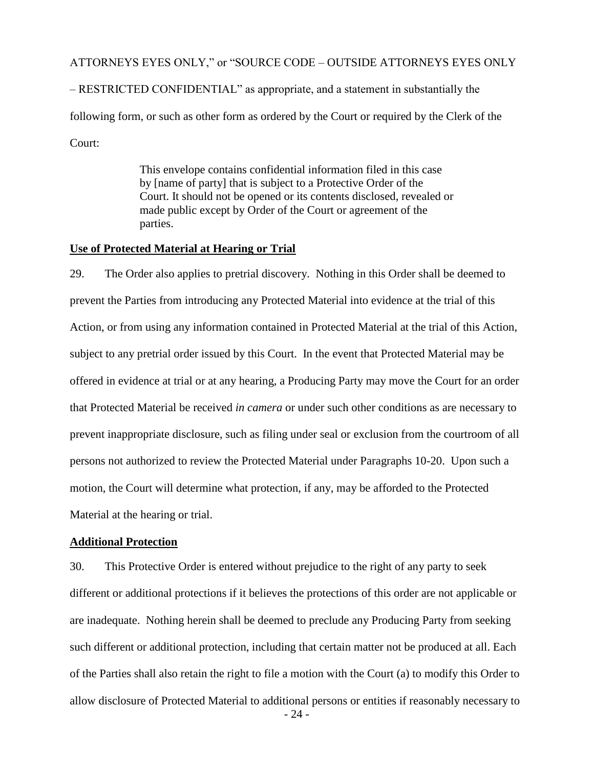ATTORNEYS EYES ONLY," or "SOURCE CODE – OUTSIDE ATTORNEYS EYES ONLY

– RESTRICTED CONFIDENTIAL" as appropriate, and a statement in substantially the following form, or such as other form as ordered by the Court or required by the Clerk of the Court:

> This envelope contains confidential information filed in this case by [name of party] that is subject to a Protective Order of the Court. It should not be opened or its contents disclosed, revealed or made public except by Order of the Court or agreement of the parties.

#### **Use of Protected Material at Hearing or Trial**

29. The Order also applies to pretrial discovery. Nothing in this Order shall be deemed to prevent the Parties from introducing any Protected Material into evidence at the trial of this Action, or from using any information contained in Protected Material at the trial of this Action, subject to any pretrial order issued by this Court. In the event that Protected Material may be offered in evidence at trial or at any hearing, a Producing Party may move the Court for an order that Protected Material be received *in camera* or under such other conditions as are necessary to prevent inappropriate disclosure, such as filing under seal or exclusion from the courtroom of all persons not authorized to review the Protected Material under Paragraphs 10-20. Upon such a motion, the Court will determine what protection, if any, may be afforded to the Protected Material at the hearing or trial.

### **Additional Protection**

- 24 - 30. This Protective Order is entered without prejudice to the right of any party to seek different or additional protections if it believes the protections of this order are not applicable or are inadequate. Nothing herein shall be deemed to preclude any Producing Party from seeking such different or additional protection, including that certain matter not be produced at all. Each of the Parties shall also retain the right to file a motion with the Court (a) to modify this Order to allow disclosure of Protected Material to additional persons or entities if reasonably necessary to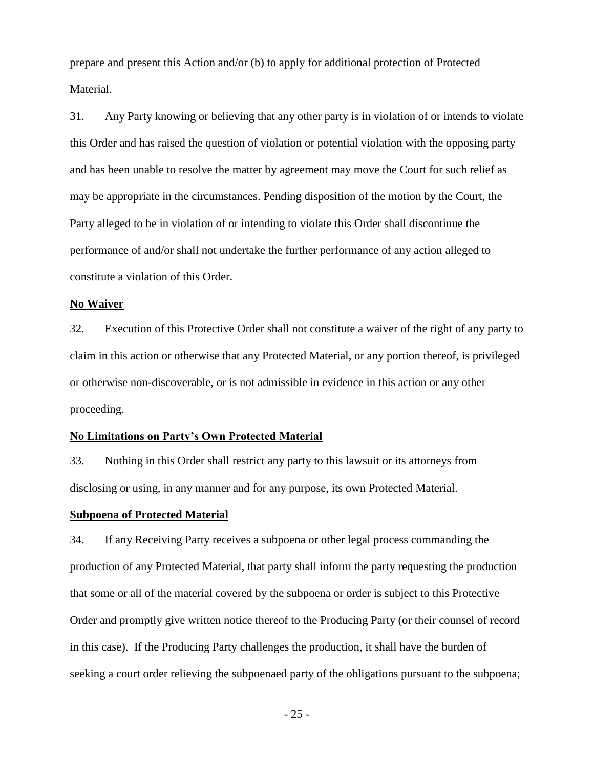prepare and present this Action and/or (b) to apply for additional protection of Protected Material.

31. Any Party knowing or believing that any other party is in violation of or intends to violate this Order and has raised the question of violation or potential violation with the opposing party and has been unable to resolve the matter by agreement may move the Court for such relief as may be appropriate in the circumstances. Pending disposition of the motion by the Court, the Party alleged to be in violation of or intending to violate this Order shall discontinue the performance of and/or shall not undertake the further performance of any action alleged to constitute a violation of this Order.

#### **No Waiver**

32. Execution of this Protective Order shall not constitute a waiver of the right of any party to claim in this action or otherwise that any Protected Material, or any portion thereof, is privileged or otherwise non-discoverable, or is not admissible in evidence in this action or any other proceeding.

### **No Limitations on Party's Own Protected Material**

33. Nothing in this Order shall restrict any party to this lawsuit or its attorneys from disclosing or using, in any manner and for any purpose, its own Protected Material.

## **Subpoena of Protected Material**

34. If any Receiving Party receives a subpoena or other legal process commanding the production of any Protected Material, that party shall inform the party requesting the production that some or all of the material covered by the subpoena or order is subject to this Protective Order and promptly give written notice thereof to the Producing Party (or their counsel of record in this case). If the Producing Party challenges the production, it shall have the burden of seeking a court order relieving the subpoenaed party of the obligations pursuant to the subpoena;

- 25 -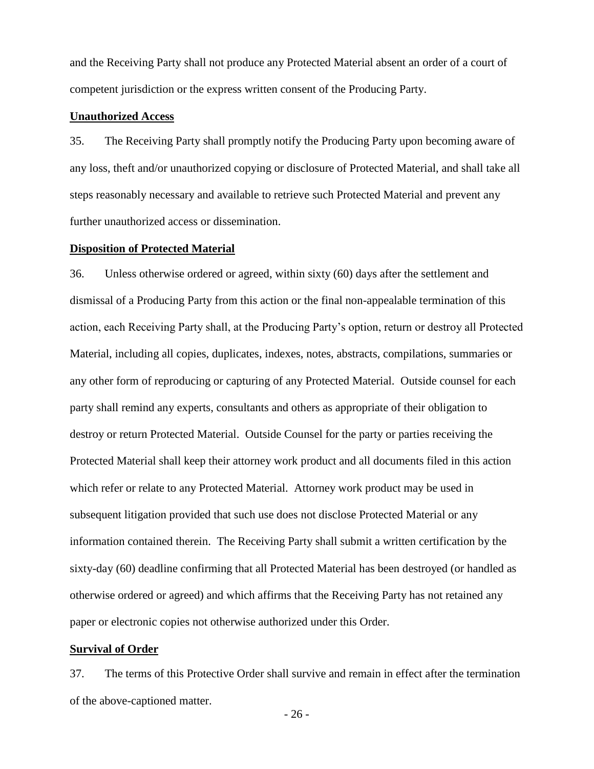and the Receiving Party shall not produce any Protected Material absent an order of a court of competent jurisdiction or the express written consent of the Producing Party.

### **Unauthorized Access**

35. The Receiving Party shall promptly notify the Producing Party upon becoming aware of any loss, theft and/or unauthorized copying or disclosure of Protected Material, and shall take all steps reasonably necessary and available to retrieve such Protected Material and prevent any further unauthorized access or dissemination.

#### **Disposition of Protected Material**

36. Unless otherwise ordered or agreed, within sixty (60) days after the settlement and dismissal of a Producing Party from this action or the final non-appealable termination of this action, each Receiving Party shall, at the Producing Party's option, return or destroy all Protected Material, including all copies, duplicates, indexes, notes, abstracts, compilations, summaries or any other form of reproducing or capturing of any Protected Material. Outside counsel for each party shall remind any experts, consultants and others as appropriate of their obligation to destroy or return Protected Material. Outside Counsel for the party or parties receiving the Protected Material shall keep their attorney work product and all documents filed in this action which refer or relate to any Protected Material. Attorney work product may be used in subsequent litigation provided that such use does not disclose Protected Material or any information contained therein. The Receiving Party shall submit a written certification by the sixty-day (60) deadline confirming that all Protected Material has been destroyed (or handled as otherwise ordered or agreed) and which affirms that the Receiving Party has not retained any paper or electronic copies not otherwise authorized under this Order.

#### **Survival of Order**

37. The terms of this Protective Order shall survive and remain in effect after the termination of the above-captioned matter.

- 26 -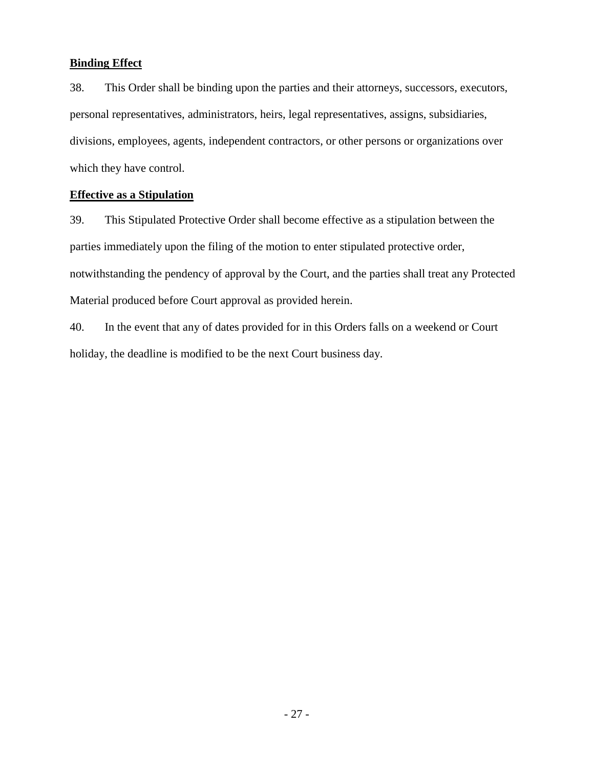## **Binding Effect**

38. This Order shall be binding upon the parties and their attorneys, successors, executors, personal representatives, administrators, heirs, legal representatives, assigns, subsidiaries, divisions, employees, agents, independent contractors, or other persons or organizations over which they have control.

## **Effective as a Stipulation**

39. This Stipulated Protective Order shall become effective as a stipulation between the parties immediately upon the filing of the motion to enter stipulated protective order, notwithstanding the pendency of approval by the Court, and the parties shall treat any Protected Material produced before Court approval as provided herein.

40. In the event that any of dates provided for in this Orders falls on a weekend or Court holiday, the deadline is modified to be the next Court business day.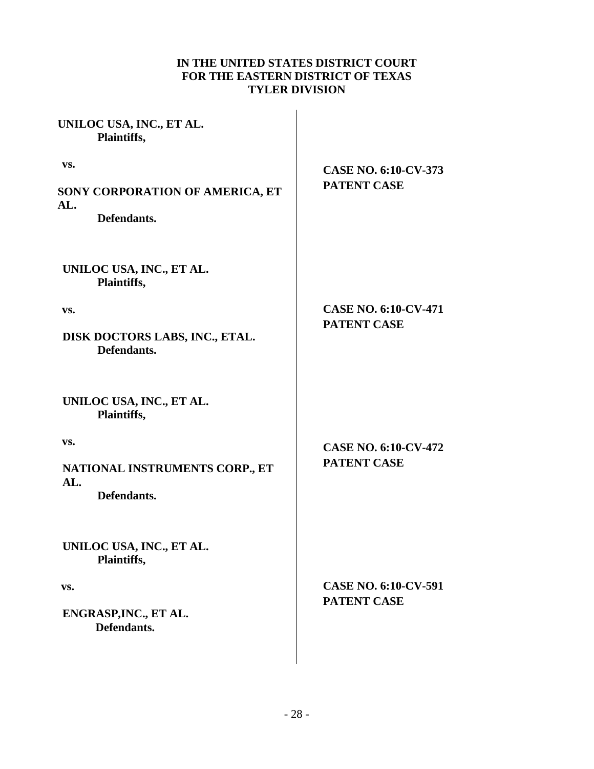## **IN THE UNITED STATES DISTRICT COURT FOR THE EASTERN DISTRICT OF TEXAS TYLER DIVISION**

| UNILOC USA, INC., ET AL.<br>Plaintiffs,               |                             |
|-------------------------------------------------------|-----------------------------|
| VS.                                                   | <b>CASE NO. 6:10-CV-373</b> |
| SONY CORPORATION OF AMERICA, ET<br>AL.<br>Defendants. | <b>PATENT CASE</b>          |
| UNILOC USA, INC., ET AL.<br>Plaintiffs,               |                             |
| VS.                                                   | <b>CASE NO. 6:10-CV-471</b> |
| DISK DOCTORS LABS, INC., ETAL.<br>Defendants.         | <b>PATENT CASE</b>          |
| UNILOC USA, INC., ET AL.<br>Plaintiffs,               |                             |
| VS.                                                   | <b>CASE NO. 6:10-CV-472</b> |
| NATIONAL INSTRUMENTS CORP., ET                        | <b>PATENT CASE</b>          |
| AL.<br>Defendants.                                    |                             |
| UNILOC USA, INC., ET AL.<br>Plaintiffs,               |                             |
| VS.                                                   | <b>CASE NO. 6:10-CV-591</b> |
| ENGRASP, INC., ET AL.<br>Defendants.                  | <b>PATENT CASE</b>          |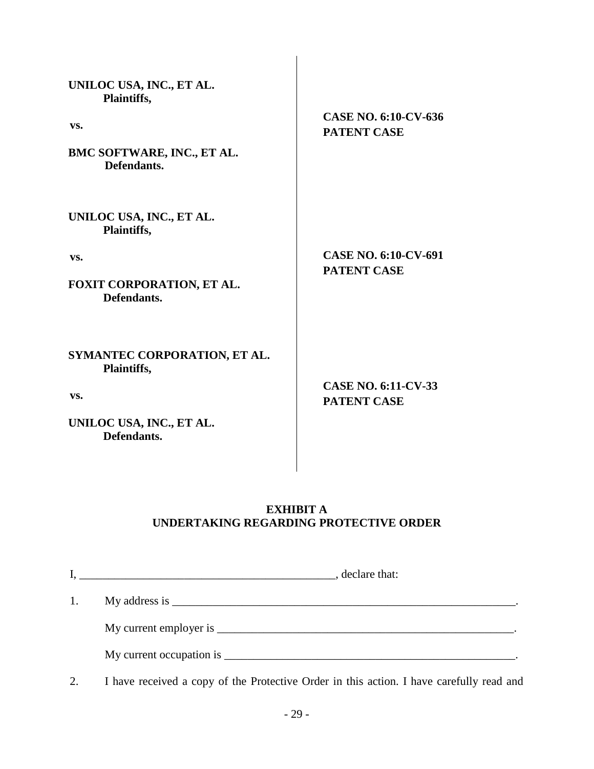| UNILOC USA, INC., ET AL.<br>Plaintiffs,<br>VS.<br>BMC SOFTWARE, INC., ET AL.<br>Defendants.   | CASE NO. 6:10-CV-636<br><b>PATENT CASE</b>       |
|-----------------------------------------------------------------------------------------------|--------------------------------------------------|
| UNILOC USA, INC., ET AL.<br>Plaintiffs,<br>VS.<br>FOXIT CORPORATION, ET AL.<br>Defendants.    | CASE NO. 6:10-CV-691<br><b>PATENT CASE</b>       |
| SYMANTEC CORPORATION, ET AL.<br>Plaintiffs,<br>VS.<br>UNILOC USA, INC., ET AL.<br>Defendants. | <b>CASE NO. 6:11-CV-33</b><br><b>PATENT CASE</b> |

# **EXHIBIT A UNDERTAKING REGARDING PROTECTIVE ORDER**

|    | , declare that:<br><u> 1989 - Andrea Stadt Britain, amerikansk politiker (</u> |  |
|----|--------------------------------------------------------------------------------|--|
| 1. |                                                                                |  |
|    | My current employer is                                                         |  |
|    |                                                                                |  |

2. I have received a copy of the Protective Order in this action. I have carefully read and